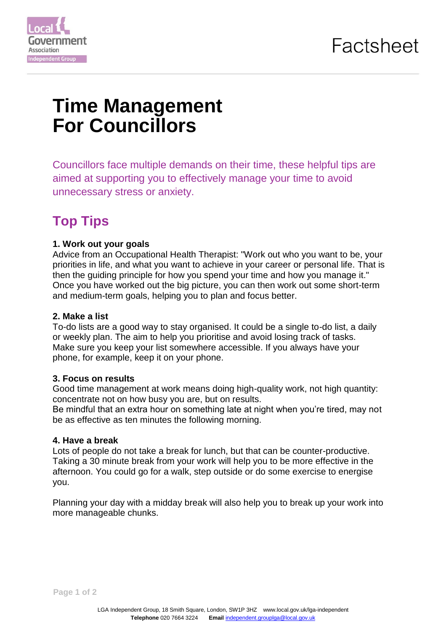

# **Time Management For Councillors**

Councillors face multiple demands on their time, these helpful tips are aimed at supporting you to effectively manage your time to avoid unnecessary stress or anxiety.

# **Top Tips**

# **1. Work out your goals**

Advice from an Occupational Health Therapist: "Work out who you want to be, your priorities in life, and what you want to achieve in your career or personal life. That is then the guiding principle for how you spend your time and how you manage it." Once you have worked out the big picture, you can then work out some short-term and medium-term goals, helping you to plan and focus better.

#### **2. Make a list**

To-do lists are a good way to stay organised. It could be a single to-do list, a daily or weekly plan. The aim to help you prioritise and avoid losing track of tasks. Make sure you keep your list somewhere accessible. If you always have your phone, for example, keep it on your phone.

#### **3. Focus on results**

Good time management at work means doing high-quality work, not high quantity: concentrate not on how busy you are, but on results.

Be mindful that an extra hour on something late at night when you're tired, may not be as effective as ten minutes the following morning.

# **4. Have a break**

Lots of people do not take a break for lunch, but that can be counter-productive. Taking a 30 minute break from your work will help you to be more effective in the afternoon. You could go for a walk, step outside or do some exercise to energise you.

Planning your day with a midday break will also help you to break up your work into more manageable chunks.

**Page 1 of 2**